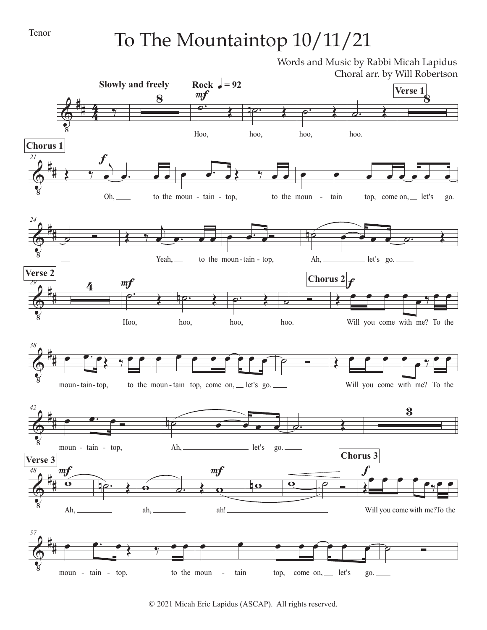## Tenor

## To The Mountaintop 10/11/21

Words and Music by Rabbi Micah Lapidus Choral arr. by Will Robertson